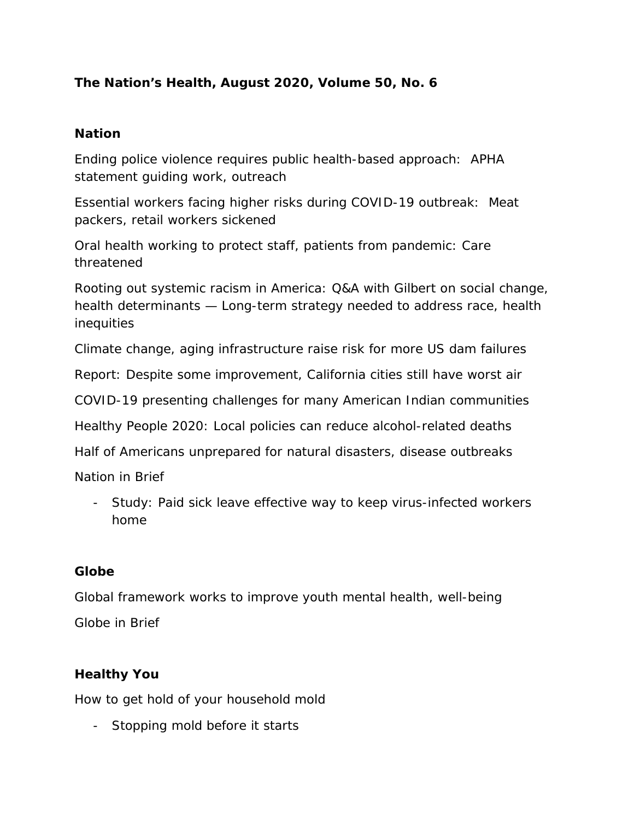# **The Nation's Health, August 2020, Volume 50, No. 6**

### **Nation**

Ending police violence requires public health-based approach: APHA statement guiding work, outreach

Essential workers facing higher risks during COVID-19 outbreak: Meat packers, retail workers sickened

Oral health working to protect staff, patients from pandemic: Care threatened

Rooting out systemic racism in America: Q&A with Gilbert on social change, health determinants — Long-term strategy needed to address race, health inequities

Climate change, aging infrastructure raise risk for more US dam failures

Report: Despite some improvement, California cities still have worst air

COVID-19 presenting challenges for many American Indian communities

Healthy People 2020: Local policies can reduce alcohol-related deaths

Half of Americans unprepared for natural disasters, disease outbreaks

Nation in Brief

- Study: Paid sick leave effective way to keep virus-infected workers home

### **Globe**

Global framework works to improve youth mental health, well-being Globe in Brief

## **Healthy You**

How to get hold of your household mold

- Stopping mold before it starts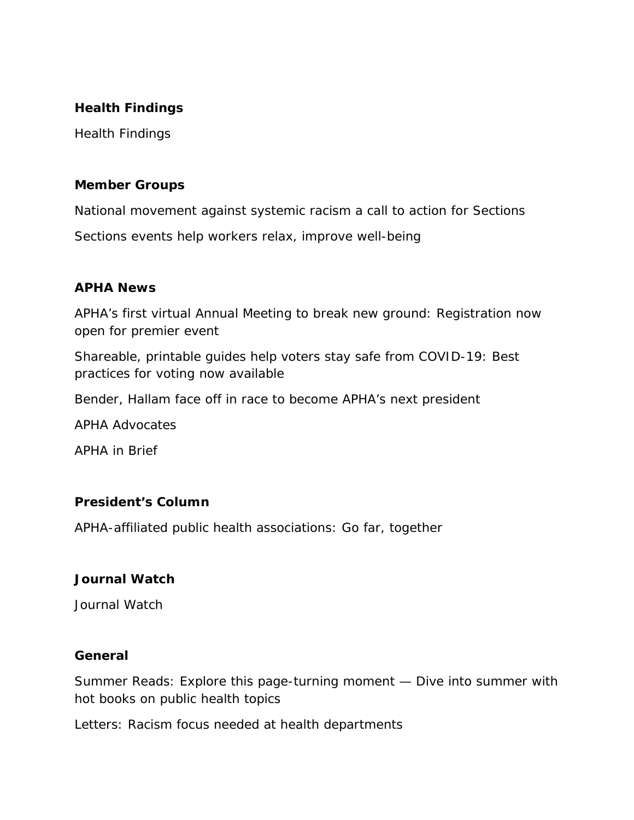### **Health Findings**

Health Findings

### **Member Groups**

National movement against systemic racism a call to action for Sections Sections events help workers relax, improve well-being

## **APHA News**

APHA's first virtual Annual Meeting to break new ground: Registration now open for premier event

Shareable, printable guides help voters stay safe from COVID-19: Best practices for voting now available

Bender, Hallam face off in race to become APHA's next president

APHA Advocates

APHA in Brief

## **President's Column**

APHA-affiliated public health associations: Go far, together

## **Journal Watch**

Journal Watch

### **General**

Summer Reads: Explore this page-turning moment — Dive into summer with hot books on public health topics

Letters: Racism focus needed at health departments